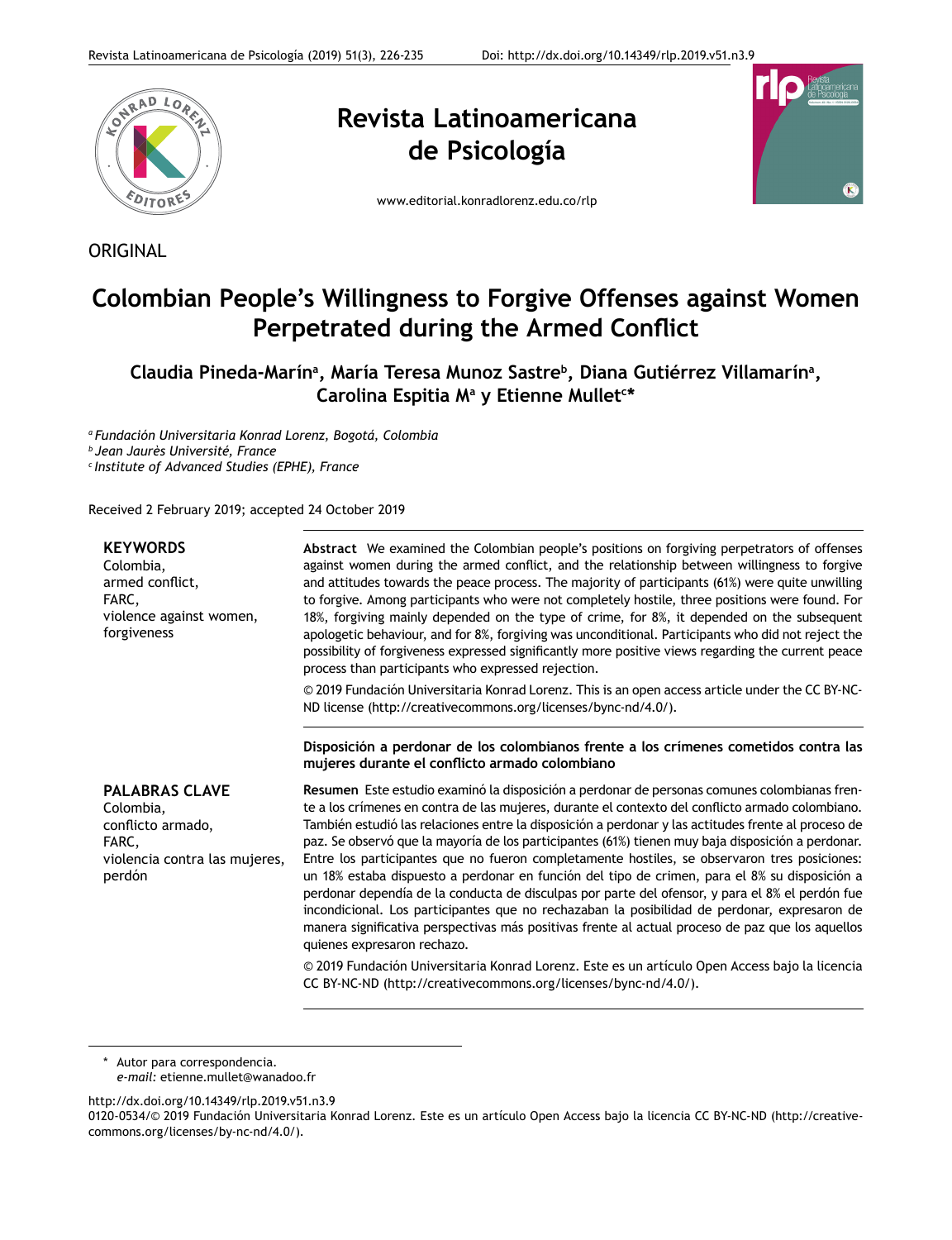

**ORIGINAL** 

**Revista Latinoamericana de Psicología**



www.editorial.konradlorenz.edu.co/rlp

# **Colombian People's Willingness to Forgive Offenses against Women Perpetrated during the Armed Conflict**

# Claudia Pineda-Marínª, María Teresa Munoz Sastre<sup>b</sup>, Diana Gutiérrez Villamarínª, **Carolina Espitia Ma y Etienne Mullet<sup>c</sup> \***

*a Fundación Universitaria Konrad Lorenz, Bogotá, Colombia*

*b Jean Jaurès Université, France*

*c Institute of Advanced Studies (EPHE), France*

Received 2 February 2019; accepted 24 October 2019

| <b>KEYWORDS</b><br>Colombia,<br>armed conflict,<br>FARC,<br>violence against women,<br>forgiveness          | Abstract We examined the Colombian people's positions on forgiving perpetrators of offenses<br>against women during the armed conflict, and the relationship between willingness to forgive<br>and attitudes towards the peace process. The majority of participants (61%) were quite unwilling<br>to forgive. Among participants who were not completely hostile, three positions were found. For<br>18%, forgiving mainly depended on the type of crime, for 8%, it depended on the subsequent<br>apologetic behaviour, and for 8%, forgiving was unconditional. Participants who did not reject the<br>possibility of forgiveness expressed significantly more positive views regarding the current peace<br>process than participants who expressed rejection.<br>© 2019 Fundación Universitaria Konrad Lorenz. This is an open access article under the CC BY-NC-<br>ND license (http://creativecommons.org/licenses/bync-nd/4.0/).<br>Disposición a perdonar de los colombianos frente a los crímenes cometidos contra las<br>mujeres durante el conflicto armado colombiano                                       |
|-------------------------------------------------------------------------------------------------------------|--------------------------------------------------------------------------------------------------------------------------------------------------------------------------------------------------------------------------------------------------------------------------------------------------------------------------------------------------------------------------------------------------------------------------------------------------------------------------------------------------------------------------------------------------------------------------------------------------------------------------------------------------------------------------------------------------------------------------------------------------------------------------------------------------------------------------------------------------------------------------------------------------------------------------------------------------------------------------------------------------------------------------------------------------------------------------------------------------------------------------|
| <b>PALABRAS CLAVE</b><br>Colombia,<br>conflicto armado,<br>FARC,<br>violencia contra las mujeres,<br>perdón | Resumen Este estudio examinó la disposición a perdonar de personas comunes colombianas fren-<br>te a los crímenes en contra de las mujeres, durante el contexto del conflicto armado colombiano.<br>También estudió las relaciones entre la disposición a perdonar y las actitudes frente al proceso de<br>paz. Se observó que la mayoría de los participantes (61%) tienen muy baja disposición a perdonar.<br>Entre los participantes que no fueron completamente hostiles, se observaron tres posiciones:<br>un 18% estaba dispuesto a perdonar en función del tipo de crimen, para el 8% su disposición a<br>perdonar dependía de la conducta de disculpas por parte del ofensor, y para el 8% el perdón fue<br>incondicional. Los participantes que no rechazaban la posibilidad de perdonar, expresaron de<br>manera significativa perspectivas más positivas frente al actual proceso de paz que los aquellos<br>quienes expresaron rechazo.<br>© 2019 Fundación Universitaria Konrad Lorenz. Este es un artículo Open Access bajo la licencia<br>CC BY-NC-ND (http://creativecommons.org/licenses/bync-nd/4.0/). |

\* Autor para correspondencia. *e-mail:* etienne.mullet@wanadoo.fr

http://dx.doi.org/10.14349/rlp.2019.v51.n3.9

<sup>0120-0534/© 2019</sup> Fundación Universitaria Konrad Lorenz. Este es un artículo Open Access bajo la licencia CC BY-NC-ND (http://creativecommons.org/licenses/by-nc-nd/4.0/).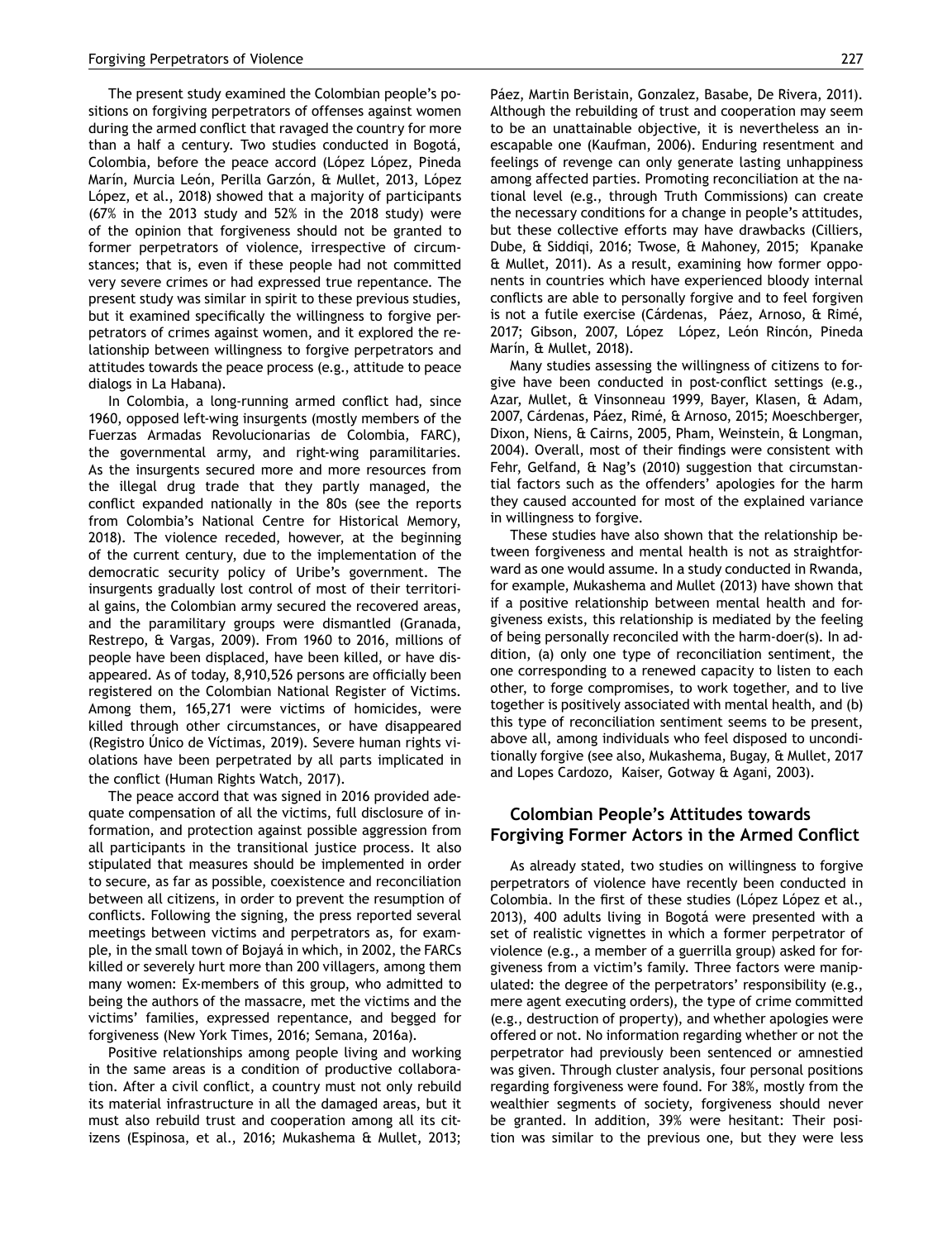The present study examined the Colombian people's positions on forgiving perpetrators of offenses against women during the armed conflict that ravaged the country for more than a half a century. Two studies conducted in Bogotá, Colombia, before the peace accord (López López, Pineda Marín, Murcia León, Perilla Garzón, & Mullet, 2013, López López, et al., 2018) showed that a majority of participants (67% in the 2013 study and 52% in the 2018 study) were of the opinion that forgiveness should not be granted to former perpetrators of violence, irrespective of circumstances; that is, even if these people had not committed very severe crimes or had expressed true repentance. The present study was similar in spirit to these previous studies, but it examined specifically the willingness to forgive perpetrators of crimes against women, and it explored the relationship between willingness to forgive perpetrators and attitudes towards the peace process (e.g., attitude to peace dialogs in La Habana).

In Colombia, a long-running armed conflict had, since 1960, opposed left-wing insurgents (mostly members of the Fuerzas Armadas Revolucionarias de Colombia, FARC), the governmental army, and right-wing paramilitaries. As the insurgents secured more and more resources from the illegal drug trade that they partly managed, the conflict expanded nationally in the 80s (see the reports from Colombia's National Centre for Historical Memory, 2018). The violence receded, however, at the beginning of the current century, due to the implementation of the democratic security policy of Uribe's government. The insurgents gradually lost control of most of their territorial gains, the Colombian army secured the recovered areas, and the paramilitary groups were dismantled (Granada, Restrepo, & Vargas, 2009). From 1960 to 2016, millions of people have been displaced, have been killed, or have disappeared. As of today, 8,910,526 persons are officially been registered on the Colombian National Register of Victims. Among them, 165,271 were victims of homicides, were killed through other circumstances, or have disappeared (Registro Único de Víctimas, 2019). Severe human rights violations have been perpetrated by all parts implicated in the conflict (Human Rights Watch, 2017).

The peace accord that was signed in 2016 provided adequate compensation of all the victims, full disclosure of information, and protection against possible aggression from all participants in the transitional justice process. It also stipulated that measures should be implemented in order to secure, as far as possible, coexistence and reconciliation between all citizens, in order to prevent the resumption of conflicts. Following the signing, the press reported several meetings between victims and perpetrators as, for example, in the small town of Bojayá in which, in 2002, the FARCs killed or severely hurt more than 200 villagers, among them many women: Ex-members of this group, who admitted to being the authors of the massacre, met the victims and the victims' families, expressed repentance, and begged for forgiveness (New York Times, 2016; Semana, 2016a).

Positive relationships among people living and working in the same areas is a condition of productive collaboration. After a civil conflict, a country must not only rebuild its material infrastructure in all the damaged areas, but it must also rebuild trust and cooperation among all its citizens (Espinosa, et al., 2016; Mukashema & Mullet, 2013; Páez, Martin Beristain, Gonzalez, Basabe, De Rivera, 2011). Although the rebuilding of trust and cooperation may seem to be an unattainable objective, it is nevertheless an inescapable one (Kaufman, 2006). Enduring resentment and feelings of revenge can only generate lasting unhappiness among affected parties. Promoting reconciliation at the national level (e.g., through Truth Commissions) can create the necessary conditions for a change in people's attitudes, but these collective efforts may have drawbacks (Cilliers, Dube, & Siddiqi, 2016; Twose, & Mahoney, 2015; Kpanake & Mullet, 2011). As a result, examining how former opponents in countries which have experienced bloody internal conflicts are able to personally forgive and to feel forgiven is not a futile exercise (Cárdenas, Páez, Arnoso, & Rimé, 2017; Gibson, 2007, López López, León Rincón, Pineda Marín, & Mullet, 2018).

Many studies assessing the willingness of citizens to forgive have been conducted in post-conflict settings (e.g., Azar, Mullet, & Vinsonneau 1999, Bayer, Klasen, & Adam, 2007, Cárdenas, Páez, Rimé, & Arnoso, 2015; Moeschberger, Dixon, Niens, & Cairns, 2005, Pham, Weinstein, & Longman, 2004). Overall, most of their findings were consistent with Fehr, Gelfand, & Nag's (2010) suggestion that circumstantial factors such as the offenders' apologies for the harm they caused accounted for most of the explained variance in willingness to forgive.

These studies have also shown that the relationship between forgiveness and mental health is not as straightforward as one would assume. In a study conducted in Rwanda, for example, Mukashema and Mullet (2013) have shown that if a positive relationship between mental health and forgiveness exists, this relationship is mediated by the feeling of being personally reconciled with the harm-doer(s). In addition, (a) only one type of reconciliation sentiment, the one corresponding to a renewed capacity to listen to each other, to forge compromises, to work together, and to live together is positively associated with mental health, and (b) this type of reconciliation sentiment seems to be present, above all, among individuals who feel disposed to unconditionally forgive (see also, Mukashema, Bugay, & Mullet, 2017 and Lopes Cardozo, Kaiser, Gotway & Agani, 2003).

# **Colombian People's Attitudes towards Forgiving Former Actors in the Armed Conflict**

As already stated, two studies on willingness to forgive perpetrators of violence have recently been conducted in Colombia. In the first of these studies (López López et al., 2013), 400 adults living in Bogotá were presented with a set of realistic vignettes in which a former perpetrator of violence (e.g., a member of a guerrilla group) asked for forgiveness from a victim's family. Three factors were manipulated: the degree of the perpetrators' responsibility (e.g., mere agent executing orders), the type of crime committed (e.g., destruction of property), and whether apologies were offered or not. No information regarding whether or not the perpetrator had previously been sentenced or amnestied was given. Through cluster analysis, four personal positions regarding forgiveness were found. For 38%, mostly from the wealthier segments of society, forgiveness should never be granted. In addition, 39% were hesitant: Their position was similar to the previous one, but they were less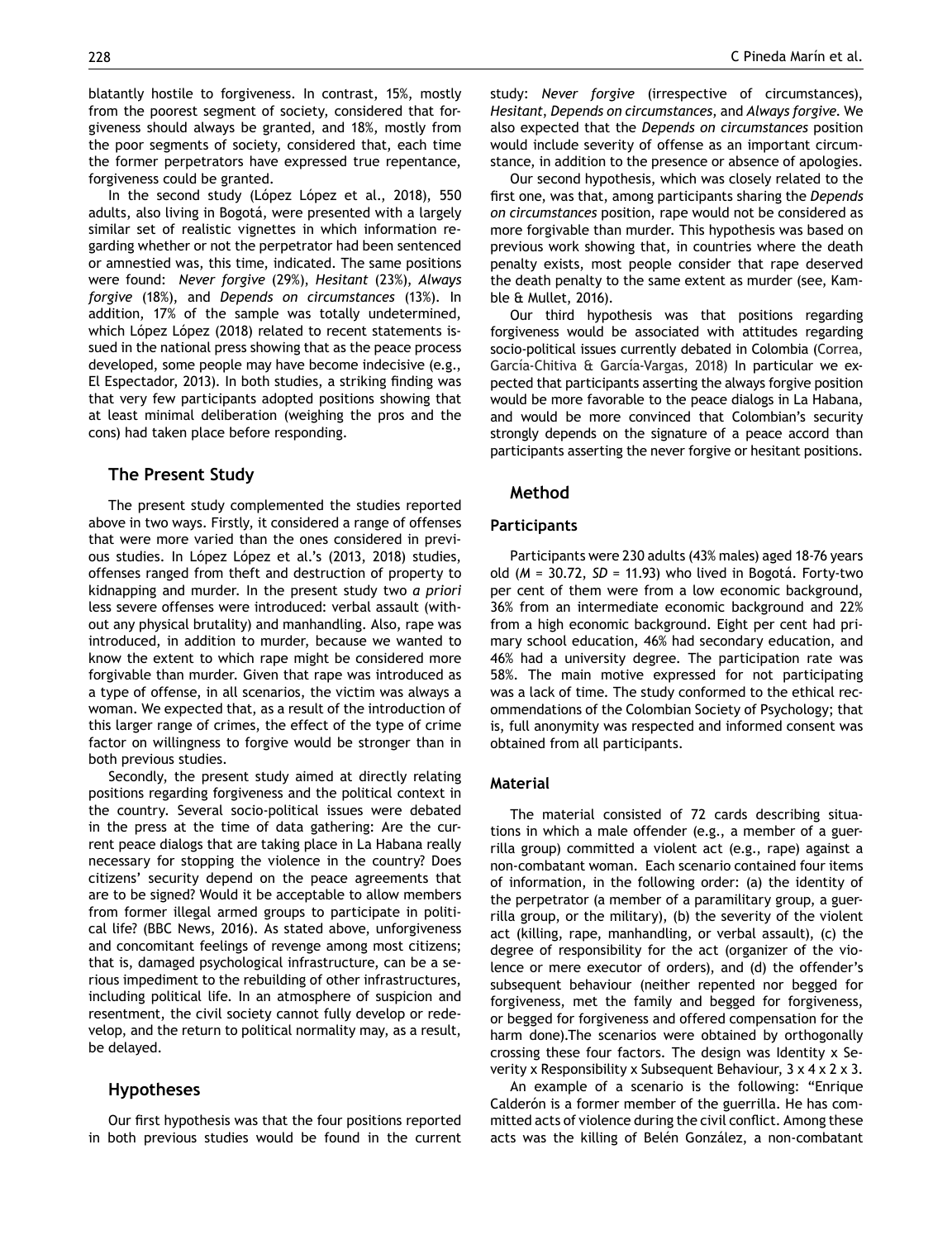blatantly hostile to forgiveness. In contrast, 15%, mostly from the poorest segment of society, considered that forgiveness should always be granted, and 18%, mostly from the poor segments of society, considered that, each time the former perpetrators have expressed true repentance, forgiveness could be granted.

In the second study (López López et al., 2018), 550 adults, also living in Bogotá, were presented with a largely similar set of realistic vignettes in which information regarding whether or not the perpetrator had been sentenced or amnestied was, this time, indicated. The same positions were found: *Never forgive* (29%), *Hesitant* (23%), *Always forgive* (18%), and *Depends on circumstances* (13%). In addition, 17% of the sample was totally undetermined, which López López (2018) related to recent statements issued in the national press showing that as the peace process developed, some people may have become indecisive (e.g., El Espectador, 2013). In both studies, a striking finding was that very few participants adopted positions showing that at least minimal deliberation (weighing the pros and the cons) had taken place before responding.

# **The Present Study**

The present study complemented the studies reported above in two ways. Firstly, it considered a range of offenses that were more varied than the ones considered in previous studies. In López López et al.'s (2013, 2018) studies, offenses ranged from theft and destruction of property to kidnapping and murder. In the present study two *a priori* less severe offenses were introduced: verbal assault (without any physical brutality) and manhandling. Also, rape was introduced, in addition to murder, because we wanted to know the extent to which rape might be considered more forgivable than murder. Given that rape was introduced as a type of offense, in all scenarios, the victim was always a woman. We expected that, as a result of the introduction of this larger range of crimes, the effect of the type of crime factor on willingness to forgive would be stronger than in both previous studies.

Secondly, the present study aimed at directly relating positions regarding forgiveness and the political context in the country. Several socio-political issues were debated in the press at the time of data gathering: Are the current peace dialogs that are taking place in La Habana really necessary for stopping the violence in the country? Does citizens' security depend on the peace agreements that are to be signed? Would it be acceptable to allow members from former illegal armed groups to participate in political life? (BBC News, 2016). As stated above, unforgiveness and concomitant feelings of revenge among most citizens; that is, damaged psychological infrastructure, can be a serious impediment to the rebuilding of other infrastructures, including political life. In an atmosphere of suspicion and resentment, the civil society cannot fully develop or redevelop, and the return to political normality may, as a result, be delayed.

# **Hypotheses**

Our first hypothesis was that the four positions reported in both previous studies would be found in the current study: *Never forgive* (irrespective of circumstances), *Hesitant*, *Depends on circumstances*, and *Always forgive*. We also expected that the *Depends on circumstances* position would include severity of offense as an important circumstance, in addition to the presence or absence of apologies.

Our second hypothesis, which was closely related to the first one, was that, among participants sharing the *Depends on circumstances* position, rape would not be considered as more forgivable than murder. This hypothesis was based on previous work showing that, in countries where the death penalty exists, most people consider that rape deserved the death penalty to the same extent as murder (see, Kamble & Mullet, 2016).

Our third hypothesis was that positions regarding forgiveness would be associated with attitudes regarding socio-political issues currently debated in Colombia (Correa, García-Chitiva & García-Vargas, 2018) In particular we expected that participants asserting the always forgive position would be more favorable to the peace dialogs in La Habana, and would be more convinced that Colombian's security strongly depends on the signature of a peace accord than participants asserting the never forgive or hesitant positions.

#### **Method**

#### **Participants**

Participants were 230 adults (43% males) aged 18-76 years old (*M* = 30.72, *SD* = 11.93) who lived in Bogotá. Forty-two per cent of them were from a low economic background, 36% from an intermediate economic background and 22% from a high economic background. Eight per cent had primary school education, 46% had secondary education, and 46% had a university degree. The participation rate was 58%. The main motive expressed for not participating was a lack of time. The study conformed to the ethical recommendations of the Colombian Society of Psychology; that is, full anonymity was respected and informed consent was obtained from all participants.

#### **Material**

The material consisted of 72 cards describing situations in which a male offender (e.g., a member of a guerrilla group) committed a violent act (e.g., rape) against a non-combatant woman. Each scenario contained four items of information, in the following order: (a) the identity of the perpetrator (a member of a paramilitary group, a guerrilla group, or the military), (b) the severity of the violent act (killing, rape, manhandling, or verbal assault), (c) the degree of responsibility for the act (organizer of the violence or mere executor of orders), and (d) the offender's subsequent behaviour (neither repented nor begged for forgiveness, met the family and begged for forgiveness, or begged for forgiveness and offered compensation for the harm done).The scenarios were obtained by orthogonally crossing these four factors. The design was Identity x Severity x Responsibility x Subsequent Behaviour, 3 x 4 x 2 x 3.

An example of a scenario is the following: "Enrique Calderón is a former member of the guerrilla. He has committed acts of violence during the civil conflict. Among these acts was the killing of Belén González, a non-combatant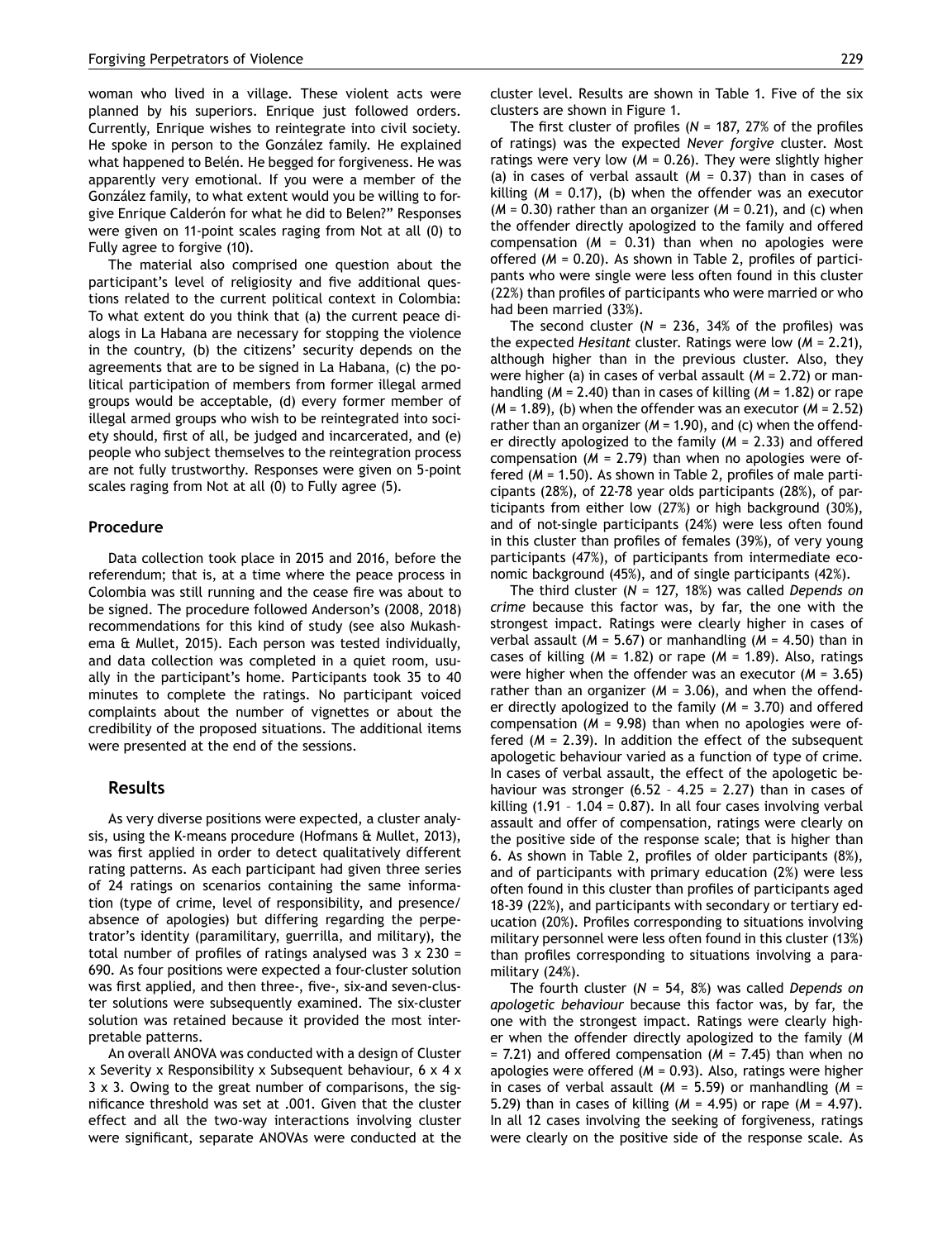woman who lived in a village. These violent acts were planned by his superiors. Enrique just followed orders. Currently, Enrique wishes to reintegrate into civil society. He spoke in person to the González family. He explained what happened to Belén. He begged for forgiveness. He was apparently very emotional. If you were a member of the González family, to what extent would you be willing to forgive Enrique Calderón for what he did to Belen?" Responses were given on 11-point scales raging from Not at all (0) to Fully agree to forgive (10).

The material also comprised one question about the participant's level of religiosity and five additional questions related to the current political context in Colombia: To what extent do you think that (a) the current peace dialogs in La Habana are necessary for stopping the violence in the country, (b) the citizens' security depends on the agreements that are to be signed in La Habana, (c) the political participation of members from former illegal armed groups would be acceptable, (d) every former member of illegal armed groups who wish to be reintegrated into society should, first of all, be judged and incarcerated, and (e) people who subject themselves to the reintegration process are not fully trustworthy. Responses were given on 5-point scales raging from Not at all (0) to Fully agree (5).

#### **Procedure**

Data collection took place in 2015 and 2016, before the referendum; that is, at a time where the peace process in Colombia was still running and the cease fire was about to be signed. The procedure followed Anderson's (2008, 2018) recommendations for this kind of study (see also Mukashema & Mullet, 2015). Each person was tested individually, and data collection was completed in a quiet room, usually in the participant's home. Participants took 35 to 40 minutes to complete the ratings. No participant voiced complaints about the number of vignettes or about the credibility of the proposed situations. The additional items were presented at the end of the sessions.

#### **Results**

As very diverse positions were expected, a cluster analysis, using the K-means procedure (Hofmans & Mullet, 2013), was first applied in order to detect qualitatively different rating patterns. As each participant had given three series of 24 ratings on scenarios containing the same information (type of crime, level of responsibility, and presence/ absence of apologies) but differing regarding the perpetrator's identity (paramilitary, guerrilla, and military), the total number of profiles of ratings analysed was  $3 \times 230 =$ 690. As four positions were expected a four-cluster solution was first applied, and then three-, five-, six-and seven-cluster solutions were subsequently examined. The six-cluster solution was retained because it provided the most interpretable patterns.

An overall ANOVA was conducted with a design of Cluster x Severity x Responsibility x Subsequent behaviour, 6 x 4 x 3 x 3. Owing to the great number of comparisons, the significance threshold was set at .001. Given that the cluster effect and all the two-way interactions involving cluster were significant, separate ANOVAs were conducted at the cluster level. Results are shown in Table 1. Five of the six clusters are shown in Figure 1.

The first cluster of profiles (*N* = 187, 27% of the profiles of ratings) was the expected *Never forgive* cluster. Most ratings were very low  $(M = 0.26)$ . They were slightly higher (a) in cases of verbal assault (*M* = 0.37) than in cases of killing (*M* = 0.17), (b) when the offender was an executor  $(M = 0.30)$  rather than an organizer  $(M = 0.21)$ , and (c) when the offender directly apologized to the family and offered compensation  $(M = 0.31)$  than when no apologies were offered (*M* = 0.20). As shown in Table 2, profiles of participants who were single were less often found in this cluster (22%) than profiles of participants who were married or who had been married (33%).

The second cluster  $(N = 236, 34\%)$  of the profiles) was the expected *Hesitant* cluster. Ratings were low (*M* = 2.21), although higher than in the previous cluster. Also, they were higher (a) in cases of verbal assault (*M* = 2.72) or manhandling (*M* = 2.40) than in cases of killing (*M* = 1.82) or rape (*M* = 1.89), (b) when the offender was an executor (*M* = 2.52) rather than an organizer (*M* = 1.90), and (c) when the offender directly apologized to the family (*M* = 2.33) and offered compensation (*M* = 2.79) than when no apologies were offered (*M* = 1.50). As shown in Table 2, profiles of male participants (28%), of 22-78 year olds participants (28%), of participants from either low (27%) or high background (30%), and of not-single participants (24%) were less often found in this cluster than profiles of females (39%), of very young participants (47%), of participants from intermediate economic background (45%), and of single participants (42%).

The third cluster (*N* = 127, 18%) was called *Depends on crime* because this factor was, by far, the one with the strongest impact. Ratings were clearly higher in cases of verbal assault (*M* = 5.67) or manhandling (*M* = 4.50) than in cases of killing (*M* = 1.82) or rape (*M* = 1.89). Also, ratings were higher when the offender was an executor (*M* = 3.65) rather than an organizer (*M* = 3.06), and when the offender directly apologized to the family (*M* = 3.70) and offered compensation (*M* = 9.98) than when no apologies were offered (*M* = 2.39). In addition the effect of the subsequent apologetic behaviour varied as a function of type of crime. In cases of verbal assault, the effect of the apologetic behaviour was stronger  $(6.52 - 4.25 = 2.27)$  than in cases of killing  $(1.91 - 1.04 = 0.87)$ . In all four cases involving verbal assault and offer of compensation, ratings were clearly on the positive side of the response scale; that is higher than 6. As shown in Table 2, profiles of older participants (8%), and of participants with primary education (2%) were less often found in this cluster than profiles of participants aged 18-39 (22%), and participants with secondary or tertiary education (20%). Profiles corresponding to situations involving military personnel were less often found in this cluster (13%) than profiles corresponding to situations involving a paramilitary (24%).

The fourth cluster (*N* = 54, 8%) was called *Depends on apologetic behaviour* because this factor was, by far, the one with the strongest impact. Ratings were clearly higher when the offender directly apologized to the family (*M* = 7.21) and offered compensation (*M* = 7.45) than when no apologies were offered (*M* = 0.93). Also, ratings were higher in cases of verbal assault (*M* = 5.59) or manhandling (*M* = 5.29) than in cases of killing (*M* = 4.95) or rape (*M* = 4.97). In all 12 cases involving the seeking of forgiveness, ratings were clearly on the positive side of the response scale. As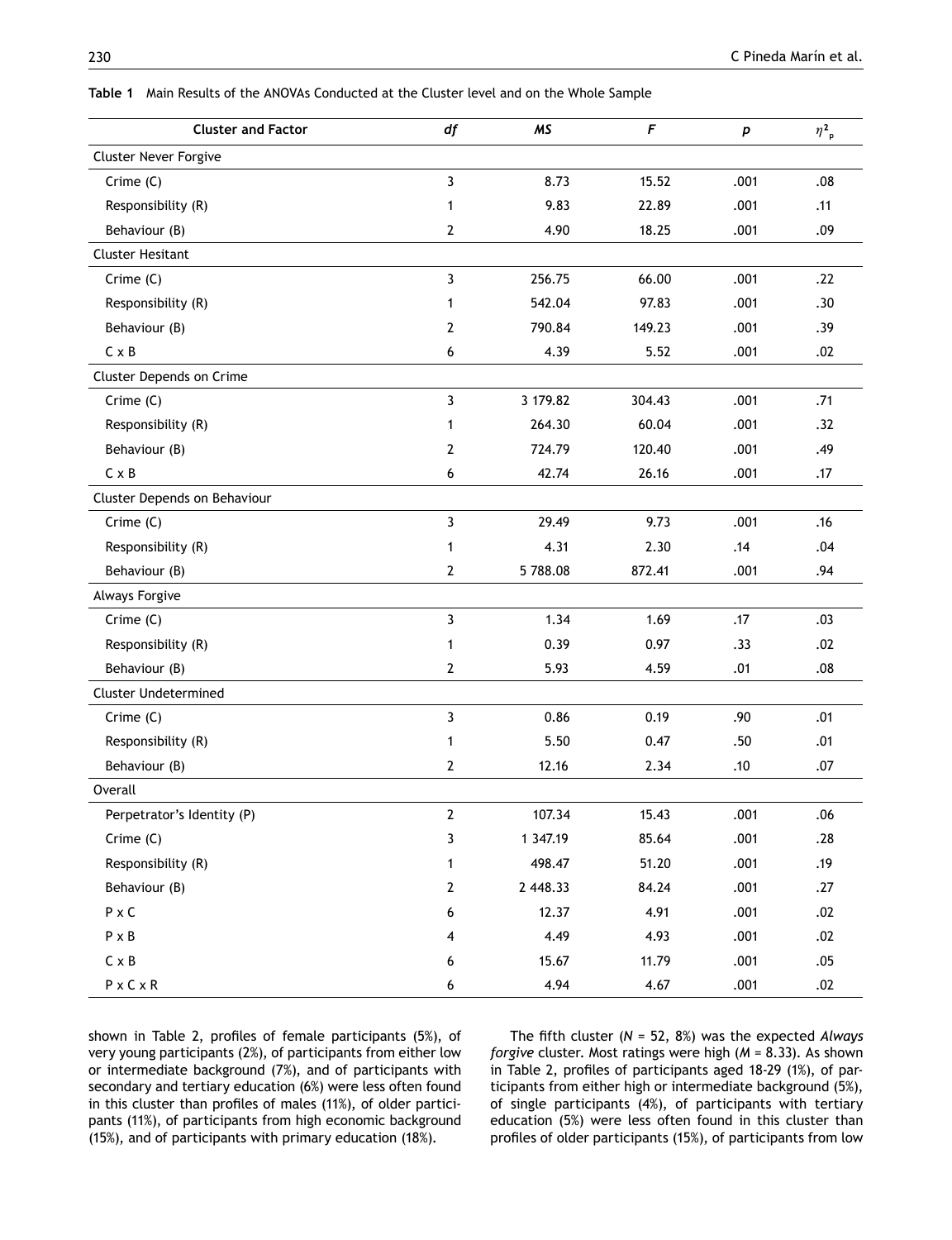| <b>Cluster and Factor</b>    | df             | <b>MS</b> | $\sqrt{ }$ | p    | $\eta_{\rho}^2$ |
|------------------------------|----------------|-----------|------------|------|-----------------|
| Cluster Never Forgive        |                |           |            |      |                 |
| Crime (C)                    | 3              | 8.73      | 15.52      | .001 | .08             |
| Responsibility (R)           | 1              | 9.83      | 22.89      | .001 | .11             |
| Behaviour (B)                | $\overline{2}$ | 4.90      | 18.25      | .001 | .09             |
| <b>Cluster Hesitant</b>      |                |           |            |      |                 |
| Crime (C)                    | 3              | 256.75    | 66.00      | .001 | .22             |
| Responsibility (R)           | 1              | 542.04    | 97.83      | .001 | .30             |
| Behaviour (B)                | 2              | 790.84    | 149.23     | .001 | .39             |
| $C \times B$                 | 6              | 4.39      | 5.52       | .001 | .02             |
| Cluster Depends on Crime     |                |           |            |      |                 |
| Crime (C)                    | 3              | 3 179.82  | 304.43     | .001 | .71             |
| Responsibility (R)           | 1              | 264.30    | 60.04      | .001 | .32             |
| Behaviour (B)                | $\overline{2}$ | 724.79    | 120.40     | .001 | .49             |
| $C \times B$                 | 6              | 42.74     | 26.16      | .001 | .17             |
| Cluster Depends on Behaviour |                |           |            |      |                 |
| Crime (C)                    | 3              | 29.49     | 9.73       | .001 | .16             |
| Responsibility (R)           | 1              | 4.31      | 2.30       | .14  | .04             |
| Behaviour (B)                | $\overline{2}$ | 5788.08   | 872.41     | .001 | .94             |
| <b>Always Forgive</b>        |                |           |            |      |                 |
| $C$ rime $(C)$               | 3              | 1.34      | 1.69       | .17  | .03             |
| Responsibility (R)           | 1              | 0.39      | 0.97       | .33  | .02             |
| Behaviour (B)                | $\mathbf{2}$   | 5.93      | 4.59       | .01  | .08             |
| <b>Cluster Undetermined</b>  |                |           |            |      |                 |
| $C$ rime $(C)$               | 3              | 0.86      | 0.19       | .90  | .01             |
| Responsibility (R)           | 1              | 5.50      | 0.47       | .50  | .01             |
| Behaviour (B)                | $\mathbf{2}$   | 12.16     | 2.34       | .10  | .07             |
| Overall                      |                |           |            |      |                 |
| Perpetrator's Identity (P)   | 2              | 107.34    | 15.43      | .001 | .06             |
| Crime (C)                    | $\mathbf{3}$   | 1 347.19  | 85.64      | .001 | .28             |
| Responsibility (R)           | $\mathbf{1}$   | 498.47    | 51.20      | .001 | .19             |
| Behaviour (B)                | $\overline{2}$ | 2 448.33  | 84.24      | .001 | .27             |
| $P \times C$                 | 6              | 12.37     | 4.91       | .001 | .02             |
| $P \times B$                 | 4              | 4.49      | 4.93       | .001 | .02             |
| $\mathsf C \times \mathsf B$ | 6              | 15.67     | 11.79      | .001 | .05             |
| $P \times C \times R$        | 6              | 4.94      | 4.67       | .001 | .02             |

**Table 1** Main Results of the ANOVAs Conducted at the Cluster level and on the Whole Sample

shown in Table 2, profiles of female participants (5%), of very young participants (2%), of participants from either low or intermediate background (7%), and of participants with secondary and tertiary education (6%) were less often found in this cluster than profiles of males (11%), of older participants (11%), of participants from high economic background (15%), and of participants with primary education (18%).

The fifth cluster (*N* = 52, 8%) was the expected *Always forgive* cluster. Most ratings were high (*M* = 8.33). As shown in Table 2, profiles of participants aged 18-29 (1%), of participants from either high or intermediate background (5%), of single participants (4%), of participants with tertiary education (5%) were less often found in this cluster than profiles of older participants (15%), of participants from low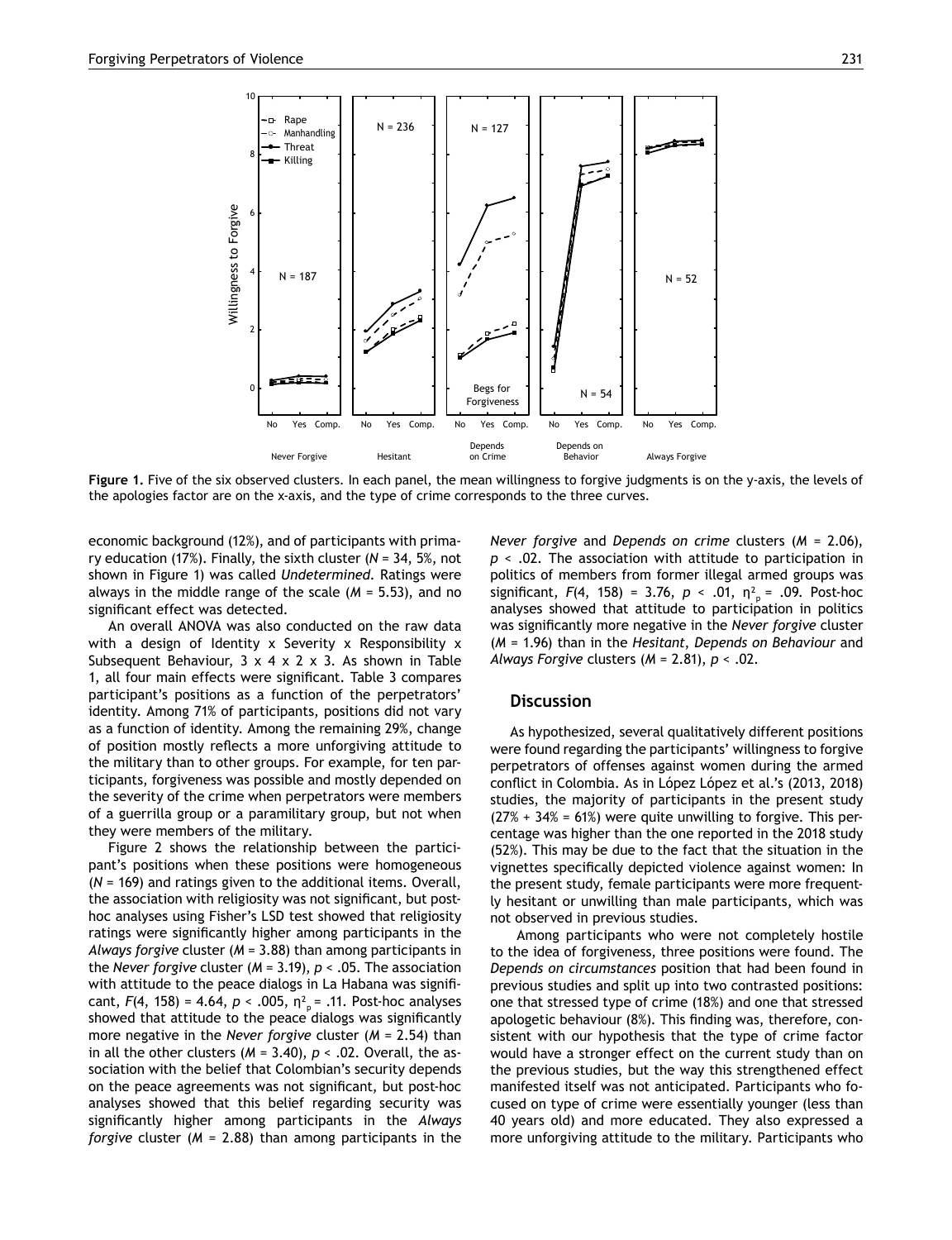

**Figure 1.** Five of the six observed clusters. In each panel, the mean willingness to forgive judgments is on the y-axis, the levels of the apologies factor are on the x-axis, and the type of crime corresponds to the three curves.

economic background (12%), and of participants with primary education (17%). Finally, the sixth cluster (*N* = 34, 5%, not shown in Figure 1) was called *Undetermined*. Ratings were always in the middle range of the scale (*M* = 5.53), and no significant effect was detected.

An overall ANOVA was also conducted on the raw data with a design of Identity x Severity x Responsibility x Subsequent Behaviour,  $3 \times 4 \times 2 \times 3$ . As shown in Table 1, all four main effects were significant. Table 3 compares participant's positions as a function of the perpetrators' identity. Among 71% of participants, positions did not vary as a function of identity. Among the remaining 29%, change of position mostly reflects a more unforgiving attitude to the military than to other groups. For example, for ten participants, forgiveness was possible and mostly depended on the severity of the crime when perpetrators were members of a guerrilla group or a paramilitary group, but not when they were members of the military.

Figure 2 shows the relationship between the participant's positions when these positions were homogeneous (*N* = 169) and ratings given to the additional items. Overall, the association with religiosity was not significant, but posthoc analyses using Fisher's LSD test showed that religiosity ratings were significantly higher among participants in the *Always forgive* cluster (*M* = 3.88) than among participants in the *Never forgive* cluster (*M* = 3.19), *p* < .05. The association with attitude to the peace dialogs in La Habana was significant,  $F(4, 158) = 4.64$ ,  $p < .005$ ,  $\eta_{p}^{2} = .11$ . Post-hoc analyses showed that attitude to the peace dialogs was significantly more negative in the *Never forgive* cluster (*M* = 2.54) than in all the other clusters ( $M = 3.40$ ),  $p < .02$ . Overall, the association with the belief that Colombian's security depends on the peace agreements was not significant, but post-hoc analyses showed that this belief regarding security was significantly higher among participants in the *Always forgive* cluster (*M* = 2.88) than among participants in the *Never forgive* and *Depends on crime* clusters (*M* = 2.06), *p* < .02. The association with attitude to participation in politics of members from former illegal armed groups was significant,  $F(4, 158) = 3.76$ ,  $p < .01$ ,  $n_{p}^{2} = .09$ . Post-hoc analyses showed that attitude to participation in politics was significantly more negative in the *Never forgive* cluster (*M* = 1.96) than in the *Hesitant*, *Depends on Behaviour* and *Always Forgive* clusters (*M* = 2.81), *p* < .02.

# **Discussion**

As hypothesized, several qualitatively different positions were found regarding the participants' willingness to forgive perpetrators of offenses against women during the armed conflict in Colombia. As in López López et al.'s (2013, 2018) studies, the majority of participants in the present study  $(27% + 34% = 61%)$  were quite unwilling to forgive. This percentage was higher than the one reported in the 2018 study (52%). This may be due to the fact that the situation in the vignettes specifically depicted violence against women: In the present study, female participants were more frequently hesitant or unwilling than male participants, which was not observed in previous studies.

 Among participants who were not completely hostile to the idea of forgiveness, three positions were found. The *Depends on circumstances* position that had been found in previous studies and split up into two contrasted positions: one that stressed type of crime (18%) and one that stressed apologetic behaviour (8%). This finding was, therefore, consistent with our hypothesis that the type of crime factor would have a stronger effect on the current study than on the previous studies, but the way this strengthened effect manifested itself was not anticipated. Participants who focused on type of crime were essentially younger (less than 40 years old) and more educated. They also expressed a more unforgiving attitude to the military. Participants who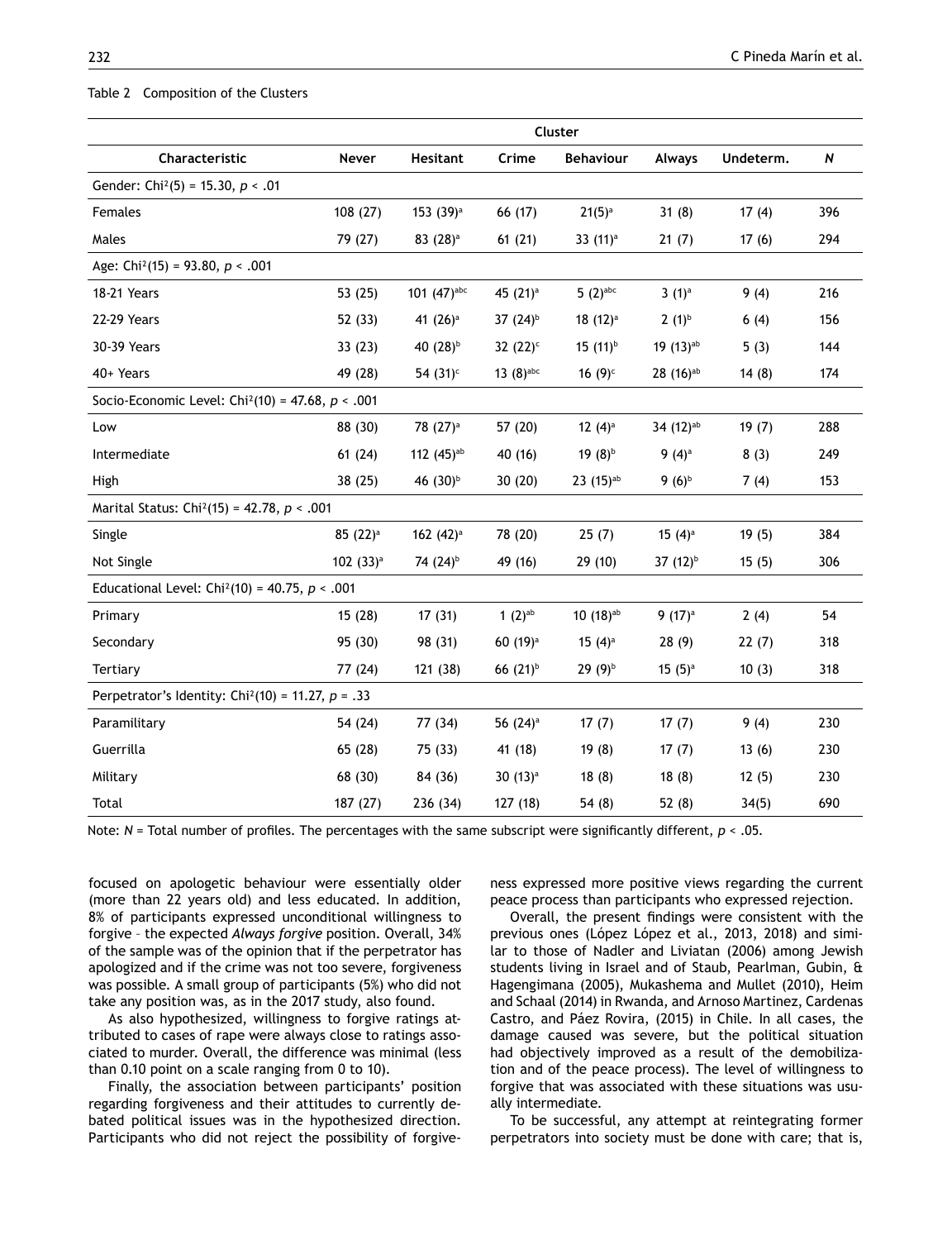#### Table 2 Composition of the Clusters

|                                                                  | Cluster              |                       |                       |                        |                        |           |                  |
|------------------------------------------------------------------|----------------------|-----------------------|-----------------------|------------------------|------------------------|-----------|------------------|
| Characteristic                                                   | Never                | <b>Hesitant</b>       | Crime                 | <b>Behaviour</b>       | <b>Always</b>          | Undeterm. | $\boldsymbol{N}$ |
| Gender: Chi <sup>2</sup> (5) = 15.30, $p < .01$                  |                      |                       |                       |                        |                        |           |                  |
| Females                                                          | 108 (27)             | 153 $(39)^a$          | 66 (17)               | $21(5)^{a}$            | 31(8)                  | 17(4)     | 396              |
| Males                                                            | 79 (27)              | $83(28)$ <sup>a</sup> | 61(21)                | 33 $(11)^a$            | 21(7)                  | 17(6)     | 294              |
| Age: Chi <sup>2</sup> (15) = 93.80, $p < .001$                   |                      |                       |                       |                        |                        |           |                  |
| 18-21 Years                                                      | 53 $(25)$            | 101 (47)abc           | 45 (21) <sup>a</sup>  | $5(2)$ abc             | $3(1)^a$               | 9(4)      | 216              |
| 22-29 Years                                                      | 52 (33)              | 41 (26) <sup>a</sup>  | 37 (24) <sup>b</sup>  | $18(12)^a$             | $2(1)^{b}$             | 6(4)      | 156              |
| 30-39 Years                                                      | 33(23)               | 40 (28) <sup>b</sup>  | 32 $(22)^c$           | 15 $(11)^{b}$          | 19 (13) <sup>ab</sup>  | 5(3)      | 144              |
| 40+ Years                                                        | 49 (28)              | 54 $(31)^c$           | 13 $(8)^{abc}$        | 16 $(9)^c$             | $28(16)$ <sup>ab</sup> | 14(8)     | 174              |
| Socio-Economic Level: Chi <sup>2</sup> (10) = 47.68, $p < .001$  |                      |                       |                       |                        |                        |           |                  |
| Low                                                              | 88 (30)              | 78 (27) <sup>a</sup>  | 57 (20)               | 12 $(4)^a$             | 34 (12) <sup>ab</sup>  | 19(7)     | 288              |
| Intermediate                                                     | 61(24)               | 112 $(45)^{ab}$       | 40 (16)               | 19 $(8)^{b}$           | 9 $(4)^a$              | 8(3)      | 249              |
| High                                                             | 38(25)               | 46 (30) <sup>b</sup>  | 30(20)                | $23(15)$ <sup>ab</sup> | 9 $(6)^{b}$            | 7(4)      | 153              |
| Marital Status: Chi <sup>2</sup> (15) = 42.78, $p < .001$        |                      |                       |                       |                        |                        |           |                  |
| Single                                                           | 85 (22) <sup>a</sup> | 162 $(42)^a$          | 78 (20)               | 25(7)                  | 15 $(4)^a$             | 19(5)     | 384              |
| Not Single                                                       | 102 $(33)^a$         | 74 (24) <sup>b</sup>  | 49 (16)               | 29 (10)                | 37 (12) <sup>b</sup>   | 15(5)     | 306              |
| Educational Level: Chi <sup>2</sup> (10) = 40.75, $p < .001$     |                      |                       |                       |                        |                        |           |                  |
| Primary                                                          | 15(28)               | 17(31)                | 1 $(2)$ <sup>ab</sup> | $10(18)$ <sup>ab</sup> | 9 $(17)^a$             | 2(4)      | 54               |
| Secondary                                                        | 95 (30)              | 98 (31)               | 60 (19) <sup>a</sup>  | 15 $(4)^a$             | 28(9)                  | 22(7)     | 318              |
| Tertiary                                                         | 77 (24)              | 121 (38)              | 66 $(21)^b$           | $29(9)^{b}$            | $15(5)$ <sup>a</sup>   | 10(3)     | 318              |
| Perpetrator's Identity: Chi <sup>2</sup> (10) = 11.27, $p = .33$ |                      |                       |                       |                        |                        |           |                  |
| Paramilitary                                                     | 54 (24)              | 77 (34)               | 56 (24) <sup>a</sup>  | 17(7)                  | 17(7)                  | 9(4)      | 230              |
| Guerrilla                                                        | 65 (28)              | 75 (33)               | 41 (18)               | 19(8)                  | 17(7)                  | 13(6)     | 230              |
| Military                                                         | 68 (30)              | 84 (36)               | 30 $(13)^a$           | 18(8)                  | 18(8)                  | 12(5)     | 230              |
| Total                                                            | 187 (27)             | 236 (34)              | 127 (18)              | 54(8)                  | 52(8)                  | 34(5)     | 690              |

Note: *N* = Total number of profiles. The percentages with the same subscript were significantly different, *p* < .05.

focused on apologetic behaviour were essentially older (more than 22 years old) and less educated. In addition, 8% of participants expressed unconditional willingness to forgive – the expected *Always forgive* position. Overall, 34% of the sample was of the opinion that if the perpetrator has apologized and if the crime was not too severe, forgiveness was possible. A small group of participants (5%) who did not take any position was, as in the 2017 study, also found.

As also hypothesized, willingness to forgive ratings attributed to cases of rape were always close to ratings associated to murder. Overall, the difference was minimal (less than 0.10 point on a scale ranging from 0 to 10).

Finally, the association between participants' position regarding forgiveness and their attitudes to currently debated political issues was in the hypothesized direction. Participants who did not reject the possibility of forgiveness expressed more positive views regarding the current peace process than participants who expressed rejection.

Overall, the present findings were consistent with the previous ones (López López et al., 2013, 2018) and similar to those of Nadler and Liviatan (2006) among Jewish students living in Israel and of Staub, Pearlman, Gubin, & Hagengimana (2005), Mukashema and Mullet (2010), Heim and Schaal (2014) in Rwanda, and Arnoso Martinez, Cardenas Castro, and Páez Rovira, (2015) in Chile. In all cases, the damage caused was severe, but the political situation had objectively improved as a result of the demobilization and of the peace process). The level of willingness to forgive that was associated with these situations was usually intermediate.

To be successful, any attempt at reintegrating former perpetrators into society must be done with care; that is,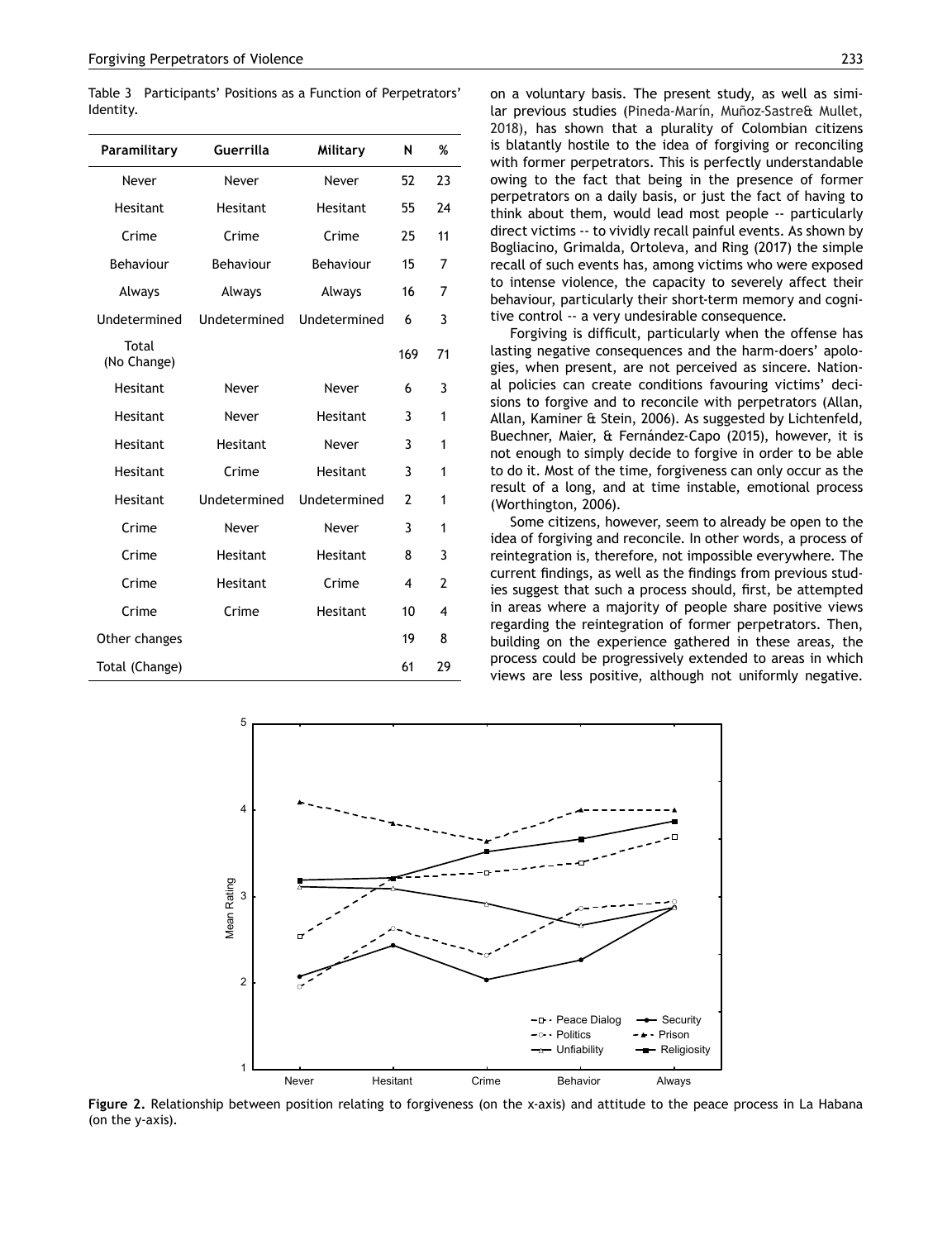Table 3 Participants' Positions as a Function of Perpetrators' Identity.

| Paramilitary         | Guerrilla    | Military     | N              | %  |
|----------------------|--------------|--------------|----------------|----|
| Never                | Never        | Never        | 52             | 23 |
| Hesitant             | Hesitant     | Hesitant     | 55             | 24 |
| Crime                | Crime        | Crime        | 25             | 11 |
| Behaviour            | Behaviour    | Behaviour    | 15             | 7  |
| Always               | Always       | Always       | 16             | 7  |
| Undetermined         | Undetermined | Undetermined | 6              | 3  |
| Total<br>(No Change) |              |              | 169            | 71 |
| Hesitant             | Never        | Never        | 6              | 3  |
| Hesitant             | Never        | Hesitant     | 3              | 1  |
| Hesitant             | Hesitant     | Never        | 3              | 1  |
| Hesitant             | Crime        | Hesitant     | 3              | 1  |
| Hesitant             | Undetermined | Undetermined | $\overline{2}$ | 1  |
| Crime                | Never        | Never        | 3              | 1  |
| Crime                | Hesitant     | Hesitant     | 8              | 3  |
| Crime                | Hesitant     | Crime        | 4              | 2  |
| Crime                | Crime        | Hesitant     | 10             | 4  |
| Other changes        |              |              | 19             | 8  |
| Total (Change)       |              |              | 61             | 29 |

on a voluntary basis. The present study, as well as similar previous studies (Pineda-Marín, Muñoz-Sastre& Mullet, 2018), has shown that a plurality of Colombian citizens is blatantly hostile to the idea of forgiving or reconciling with former perpetrators. This is perfectly understandable owing to the fact that being in the presence of former perpetrators on a daily basis, or just the fact of having to think about them, would lead most people -- particularly direct victims -- to vividly recall painful events. As shown by Bogliacino, Grimalda, Ortoleva, and Ring (2017) the simple recall of such events has, among victims who were exposed to intense violence, the capacity to severely affect their behaviour, particularly their short-term memory and cognitive control -- a very undesirable consequence.

Forgiving is difficult, particularly when the offense has lasting negative consequences and the harm-doers' apologies, when present, are not perceived as sincere. National policies can create conditions favouring victims' decisions to forgive and to reconcile with perpetrators (Allan, Allan, Kaminer & Stein, 2006). As suggested by Lichtenfeld, Buechner, Maier, & Fernández-Capo (2015), however, it is not enough to simply decide to forgive in order to be able to do it. Most of the time, forgiveness can only occur as the result of a long, and at time instable, emotional process (Worthington, 2006).

Some citizens, however, seem to already be open to the idea of forgiving and reconcile. In other words, a process of reintegration is, therefore, not impossible everywhere. The current findings, as well as the findings from previous studies suggest that such a process should, first, be attempted in areas where a majority of people share positive views regarding the reintegration of former perpetrators. Then, building on the experience gathered in these areas, the process could be progressively extended to areas in which views are less positive, although not uniformly negative.



**Figure 2.** Relationship between position relating to forgiveness (on the x-axis) and attitude to the peace process in La Habana (on the y-axis).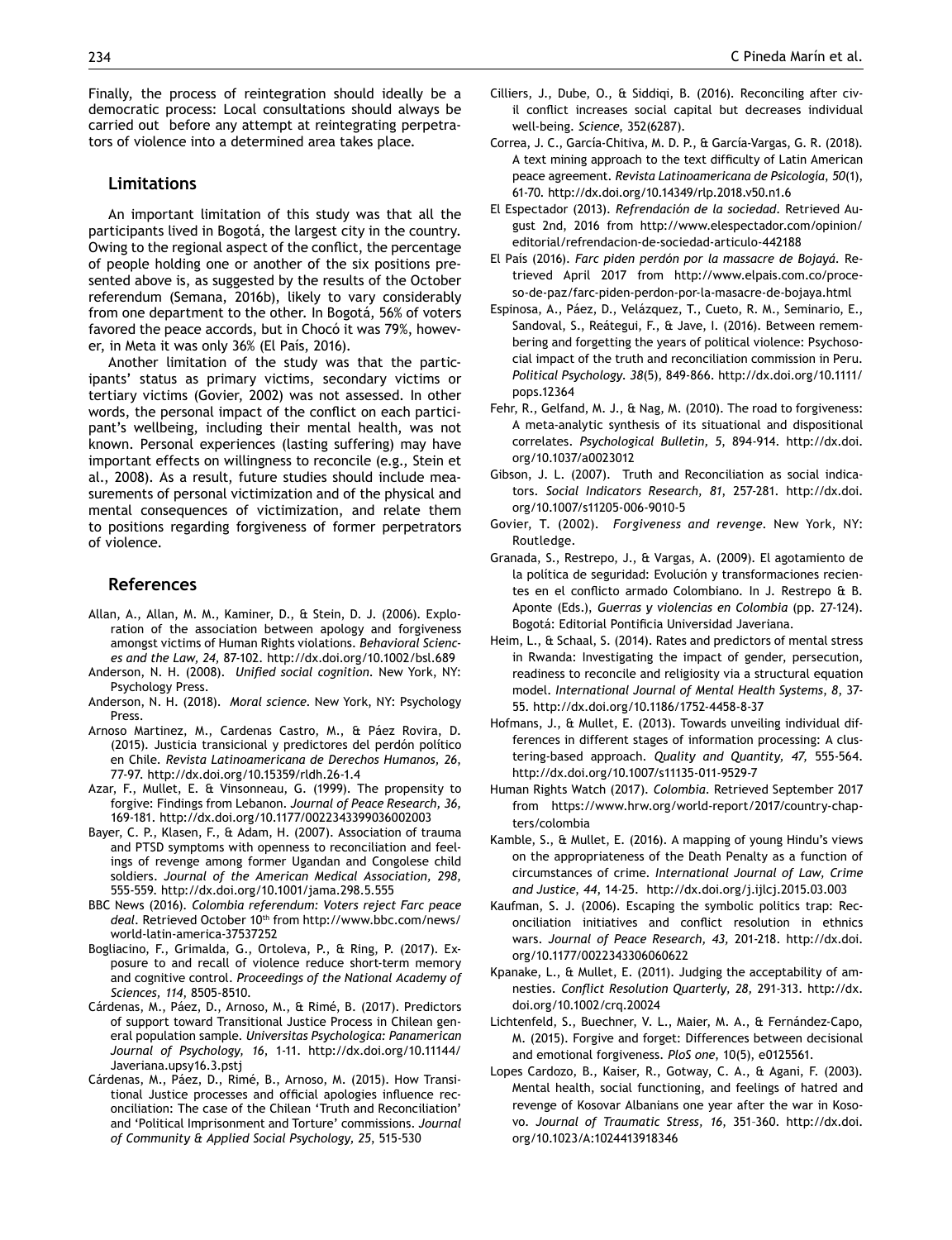Finally, the process of reintegration should ideally be a democratic process: Local consultations should always be carried out before any attempt at reintegrating perpetrators of violence into a determined area takes place.

# **Limitations**

An important limitation of this study was that all the participants lived in Bogotá, the largest city in the country. Owing to the regional aspect of the conflict, the percentage of people holding one or another of the six positions presented above is, as suggested by the results of the October referendum (Semana, 2016b), likely to vary considerably from one department to the other. In Bogotá, 56% of voters favored the peace accords, but in Chocó it was 79%, however, in Meta it was only 36% (El País, 2016).

Another limitation of the study was that the participants' status as primary victims, secondary victims or tertiary victims (Govier, 2002) was not assessed. In other words, the personal impact of the conflict on each participant's wellbeing, including their mental health, was not known. Personal experiences (lasting suffering) may have important effects on willingness to reconcile (e.g., Stein et al., 2008). As a result, future studies should include measurements of personal victimization and of the physical and mental consequences of victimization, and relate them to positions regarding forgiveness of former perpetrators of violence.

# **References**

- Allan, A., Allan, M. M., Kaminer, D., & Stein, D. J. (2006). Exploration of the association between apology and forgiveness amongst victims of Human Rights violations. *Behavioral Sciences and the Law, 24,* 87-102. http://dx.doi.org/10.1002/bsl.689
- Anderson, N. H. (2008). *Unified social cognition*. New York, NY: Psychology Press.
- Anderson, N. H. (2018). *Moral science*. New York, NY: Psychology Press.
- Arnoso Martinez, M., Cardenas Castro, M., & Páez Rovira, D. (2015). Justicia transicional y predictores del perdón político en Chile. *Revista Latinoamericana de Derechos Humanos, 26*, 77-97. http://dx.doi.org/10.15359/rldh.26-1.4
- Azar, F., Mullet, E. & Vinsonneau, G. (1999). The propensity to forgive: Findings from Lebanon. *Journal of Peace Research, 36,*  169-181. http://dx.doi.org/10.1177/0022343399036002003
- Bayer, C. P., Klasen, F., & Adam, H. (2007). Association of trauma and PTSD symptoms with openness to reconciliation and feelings of revenge among former Ugandan and Congolese child soldiers. *Journal of the American Medical Association, 298,*  555-559. http://dx.doi.org[/10.1001/jama.298.5.555](https://doi.org/10.1001/jama.298.5.555)
- BBC News (2016). *Colombia referendum: Voters reject Farc peace deal*. Retrieved October 10th from [http://www.bbc.com/news/](http://www.bbc.com/news/world-latin-america-37537252) [world-latin-america-37537252](http://www.bbc.com/news/world-latin-america-37537252)
- Bogliacino, F., Grimalda, G., Ortoleva, P., & Ring, P. (2017). Exposure to and recall of violence reduce short-term memory and cognitive control. *Proceedings of the National Academy of Sciences, 114*, 8505-8510.
- Cárdenas, M., Páez, D., Arnoso, M., & Rimé, B. (2017). Predictors of support toward Transitional Justice Process in Chilean general population sample. *Universitas Psychologica: Panamerican Journal of Psychology, 16*, 1-11. http://dx.doi.org/10.11144/ Javeriana.upsy16.3.pstj
- Cárdenas, M., Páez, D., Rimé, B., Arnoso, M. (2015). How Transitional Justice processes and official apologies influence reconciliation: The case of the Chilean 'Truth and Reconciliation' and 'Political Imprisonment and Torture' commissions. *Journal of Community & Applied Social Psychology, 25*, 515-530
- Cilliers, J., Dube, O., & Siddiqi, B. (2016). Reconciling after civil conflict increases social capital but decreases individual well-being. *Science*, 352(6287).
- Correa, J. C., García-Chitiva, M. D. P., & García-Vargas, G. R. (2018). A text mining approach to the text difficulty of Latin American peace agreement. *Revista Latinoamericana de Psicología*, *50*(1), 61-70. http://dx.doi.org/10.14349/rlp.2018.v50.n1.6
- El Espectador (2013). *Refrendación de la sociedad*. Retrieved August 2nd, 2016 from [http://www.elespectador.com/opinion/](http://www.elespectador.com/opinion/editorial/refrendacion-de-sociedad-articulo-442188) [editorial/refrendacion-de-sociedad-articulo-442188](http://www.elespectador.com/opinion/editorial/refrendacion-de-sociedad-articulo-442188)
- El País (2016). *Farc piden perdón por la massacre de Bojayá*. Retrieved April 2017 from http://www.elpais.com.co/proceso-de-paz/farc-piden-perdon-por-la-masacre-de-bojaya.html
- Espinosa, A., Páez, D., Velázquez, T., Cueto, R. M., Seminario, E., Sandoval, S., Reátegui, F., & Jave, I. (2016). Between remembering and forgetting the years of political violence: Psychosocial impact of the truth and reconciliation commission in Peru. *Political Psychology*. *38*(5), 849-866. http://dx.doi.org/10.1111/ pops.12364
- Fehr, R., Gelfand, M. J., & Nag, M. (2010). The road to forgiveness: A meta-analytic synthesis of its situational and dispositional correlates. *Psychological Bulletin, 5*, 894-914. http://dx.doi. org/10.1037/a0023012
- Gibson, J. L. (2007). Truth and Reconciliation as social indicators. *Social Indicators Research, 81*, 257-281. http://dx.doi. org/10.1007/s11205-006-9010-5
- Govier, T. (2002). *Forgiveness and revenge*. New York, NY: Routledge.
- Granada, S., Restrepo, J., & Vargas, A. (2009). El agotamiento de la política de seguridad: Evolución y transformaciones recientes en el conflicto armado Colombiano. In J. Restrepo & B. Aponte (Eds.), *Guerras y violencias en Colombia* (pp. 27-124). Bogotá: Editorial Pontificia Universidad Javeriana.
- Heim, L., & Schaal, S. (2014). Rates and predictors of mental stress in Rwanda: Investigating the impact of gender, persecution, readiness to reconcile and religiosity via a structural equation model. *International Journal of Mental Health Systems*, *8*, 37- 55. http://dx.doi.org/10.1186/1752-4458-8-37
- Hofmans, J., & Mullet, E. (2013). Towards unveiling individual differences in different stages of information processing: A clustering-based approach. *Quality and Quantity, 47,* 555-564. http://dx.doi.org/10.1007/s11135-011-9529-7
- Human Rights Watch (2017). *Colombia*. Retrieved September 2017 from [https://www.hrw.org/world-report/2017/country-chap](https://www.hrw.org/world-report/2017/country-chapters/colombia)[ters/colombia](https://www.hrw.org/world-report/2017/country-chapters/colombia)
- Kamble, S., & Mullet, E. (2016). A mapping of young Hindu's views on the appropriateness of the Death Penalty as a function of circumstances of crime. *International Journal of Law, Crime and Justice*, *44*, 14-25. [http://dx.doi.org/j.ijlcj.2015.03.003]( http://dx.doi.org/j.ijlcj.2015.03.003)
- Kaufman, S. J. (2006). Escaping the symbolic politics trap: Reconciliation initiatives and conflict resolution in ethnics wars. *Journal of Peace Research, 43,* 201-218. http://dx.doi. org/10.1177/0022343306060622
- Kpanake, L., & Mullet, E. (2011). Judging the acceptability of amnesties. *Conflict Resolution Quarterly, 28,* 291-313. http://dx. doi.org/10.1002/crq.20024
- Lichtenfeld, S., Buechner, V. L., Maier, M. A., & Fernández-Capo, M. (2015). Forgive and forget: Differences between decisional and emotional forgiveness. *PloS one*, 10(5), e0125561.
- Lopes Cardozo, B., Kaiser, R., Gotway, C. A., & Agani, F. (2003). Mental health, social functioning, and feelings of hatred and revenge of Kosovar Albanians one year after the war in Kosovo. *Journal of Traumatic Stress, 16*, 351–360. http://dx.doi. org/10.1023/A:1024413918346